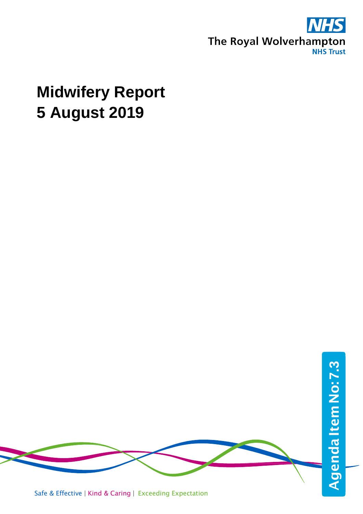

# **Midwifery Report 5 August 2019**



Safe & Effective | Kind & Caring | Exceeding Expectation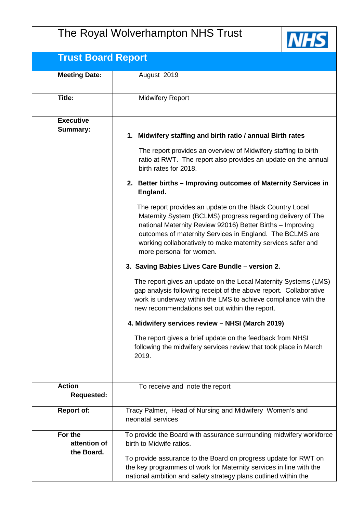# The Royal Wolverhampton NHS Trust



# **Trust Board Report**

| <u>HUSL DUAHU INGPUH</u>              |                                                                                                                                                                                                                                                                                                                                               |  |
|---------------------------------------|-----------------------------------------------------------------------------------------------------------------------------------------------------------------------------------------------------------------------------------------------------------------------------------------------------------------------------------------------|--|
| <b>Meeting Date:</b>                  | August 2019                                                                                                                                                                                                                                                                                                                                   |  |
| Title:                                | <b>Midwifery Report</b>                                                                                                                                                                                                                                                                                                                       |  |
| <b>Executive</b>                      |                                                                                                                                                                                                                                                                                                                                               |  |
| Summary:                              | 1. Midwifery staffing and birth ratio / annual Birth rates                                                                                                                                                                                                                                                                                    |  |
|                                       | The report provides an overview of Midwifery staffing to birth<br>ratio at RWT. The report also provides an update on the annual<br>birth rates for 2018.                                                                                                                                                                                     |  |
|                                       | 2. Better births - Improving outcomes of Maternity Services in<br>England.                                                                                                                                                                                                                                                                    |  |
|                                       | The report provides an update on the Black Country Local<br>Maternity System (BCLMS) progress regarding delivery of The<br>national Maternity Review 92016) Better Births - Improving<br>outcomes of maternity Services in England. The BCLMS are<br>working collaboratively to make maternity services safer and<br>more personal for women. |  |
|                                       | 3. Saving Babies Lives Care Bundle - version 2.                                                                                                                                                                                                                                                                                               |  |
|                                       | The report gives an update on the Local Maternity Systems (LMS)<br>gap analysis following receipt of the above report. Collaborative<br>work is underway within the LMS to achieve compliance with the<br>new recommendations set out within the report.                                                                                      |  |
|                                       | 4. Midwifery services review - NHSI (March 2019)                                                                                                                                                                                                                                                                                              |  |
|                                       | The report gives a brief update on the feedback from NHSI<br>following the midwifery services review that took place in March<br>2019.                                                                                                                                                                                                        |  |
| <b>Action</b><br><b>Requested:</b>    | To receive and note the report                                                                                                                                                                                                                                                                                                                |  |
| <b>Report of:</b>                     | Tracy Palmer, Head of Nursing and Midwifery Women's and<br>neonatal services                                                                                                                                                                                                                                                                  |  |
| For the<br>attention of<br>the Board. | To provide the Board with assurance surrounding midwifery workforce<br>birth to Midwife ratios.                                                                                                                                                                                                                                               |  |
|                                       | To provide assurance to the Board on progress update for RWT on<br>the key programmes of work for Maternity services in line with the<br>national ambition and safety strategy plans outlined within the                                                                                                                                      |  |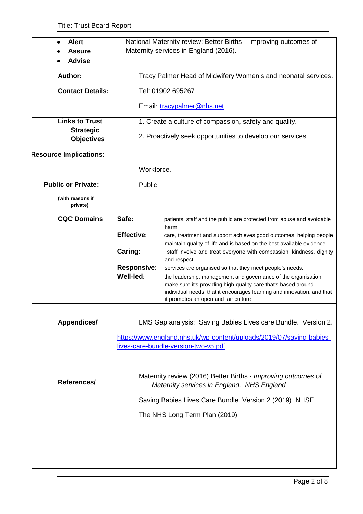| <b>Alert</b>                  |                                                               | National Maternity review: Better Births - Improving outcomes of               |  |  |
|-------------------------------|---------------------------------------------------------------|--------------------------------------------------------------------------------|--|--|
|                               |                                                               |                                                                                |  |  |
| <b>Assure</b>                 |                                                               | Maternity services in England (2016).                                          |  |  |
| <b>Advise</b>                 |                                                               |                                                                                |  |  |
|                               |                                                               |                                                                                |  |  |
| Author:                       | Tracy Palmer Head of Midwifery Women's and neonatal services. |                                                                                |  |  |
| <b>Contact Details:</b>       | Tel: 01902 695267                                             |                                                                                |  |  |
|                               |                                                               |                                                                                |  |  |
|                               |                                                               | Email: tracypalmer@nhs.net                                                     |  |  |
| <b>Links to Trust</b>         |                                                               | 1. Create a culture of compassion, safety and quality.                         |  |  |
| <b>Strategic</b>              |                                                               |                                                                                |  |  |
| <b>Objectives</b>             |                                                               | 2. Proactively seek opportunities to develop our services                      |  |  |
|                               |                                                               |                                                                                |  |  |
| <b>Resource Implications:</b> |                                                               |                                                                                |  |  |
|                               | Workforce.                                                    |                                                                                |  |  |
|                               |                                                               |                                                                                |  |  |
| <b>Public or Private:</b>     | Public                                                        |                                                                                |  |  |
|                               |                                                               |                                                                                |  |  |
| (with reasons if              |                                                               |                                                                                |  |  |
| private)                      |                                                               |                                                                                |  |  |
| <b>CQC Domains</b>            | Safe:                                                         |                                                                                |  |  |
|                               |                                                               | patients, staff and the public are protected from abuse and avoidable<br>harm. |  |  |
|                               |                                                               |                                                                                |  |  |
|                               | <b>Effective:</b>                                             | care, treatment and support achieves good outcomes, helping people             |  |  |
|                               |                                                               | maintain quality of life and is based on the best available evidence.          |  |  |
|                               | Caring:                                                       | staff involve and treat everyone with compassion, kindness, dignity            |  |  |
|                               |                                                               | and respect.                                                                   |  |  |
|                               | <b>Responsive:</b>                                            | services are organised so that they meet people's needs.                       |  |  |
|                               | Well-led:                                                     | the leadership, management and governance of the organisation                  |  |  |
|                               |                                                               | make sure it's providing high-quality care that's based around                 |  |  |
|                               |                                                               | individual needs, that it encourages learning and innovation, and that         |  |  |
|                               |                                                               | it promotes an open and fair culture                                           |  |  |
|                               |                                                               |                                                                                |  |  |
|                               |                                                               |                                                                                |  |  |
| <b>Appendices/</b>            |                                                               | LMS Gap analysis: Saving Babies Lives care Bundle. Version 2.                  |  |  |
|                               |                                                               | https://www.england.nhs.uk/wp-content/uploads/2019/07/saving-babies-           |  |  |
|                               |                                                               | lives-care-bundle-version-two-v5.pdf                                           |  |  |
|                               |                                                               |                                                                                |  |  |
|                               |                                                               |                                                                                |  |  |
|                               |                                                               |                                                                                |  |  |
|                               |                                                               | Maternity review (2016) Better Births - Improving outcomes of                  |  |  |
| References/                   |                                                               | Maternity services in England. NHS England                                     |  |  |
|                               |                                                               |                                                                                |  |  |
|                               |                                                               | Saving Babies Lives Care Bundle. Version 2 (2019) NHSE                         |  |  |
|                               | The NHS Long Term Plan (2019)                                 |                                                                                |  |  |
|                               |                                                               |                                                                                |  |  |
|                               |                                                               |                                                                                |  |  |
|                               |                                                               |                                                                                |  |  |
|                               |                                                               |                                                                                |  |  |
|                               |                                                               |                                                                                |  |  |
|                               |                                                               |                                                                                |  |  |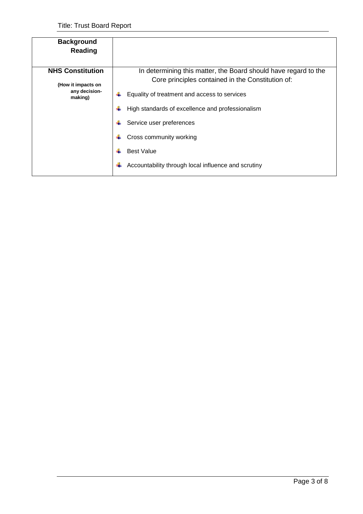| <b>Background</b><br>Reading                   |                                                                                                                      |
|------------------------------------------------|----------------------------------------------------------------------------------------------------------------------|
| <b>NHS Constitution</b>                        | In determining this matter, the Board should have regard to the<br>Core principles contained in the Constitution of: |
| (How it impacts on<br>any decision-<br>making) | Equality of treatment and access to services                                                                         |
|                                                | High standards of excellence and professionalism                                                                     |
|                                                | Service user preferences                                                                                             |
|                                                | Cross community working                                                                                              |
|                                                | <b>Best Value</b>                                                                                                    |
|                                                | Accountability through local influence and scrutiny                                                                  |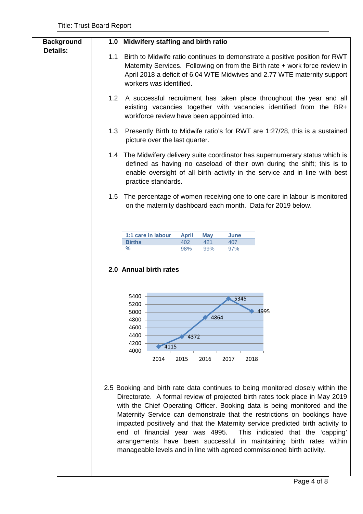| <b>Background</b> | Midwifery staffing and birth ratio<br>1.0                                                                                                                                                                                                                                                                                                                                                                                                                                                                                                                                                                                                                                                                                                                                                                                                                                                                                                 |
|-------------------|-------------------------------------------------------------------------------------------------------------------------------------------------------------------------------------------------------------------------------------------------------------------------------------------------------------------------------------------------------------------------------------------------------------------------------------------------------------------------------------------------------------------------------------------------------------------------------------------------------------------------------------------------------------------------------------------------------------------------------------------------------------------------------------------------------------------------------------------------------------------------------------------------------------------------------------------|
| <b>Details:</b>   | Birth to Midwife ratio continues to demonstrate a positive position for RWT<br>1.1<br>Maternity Services. Following on from the Birth rate + work force review in<br>April 2018 a deficit of 6.04 WTE Midwives and 2.77 WTE maternity support<br>workers was identified.                                                                                                                                                                                                                                                                                                                                                                                                                                                                                                                                                                                                                                                                  |
|                   | 1.2<br>A successful recruitment has taken place throughout the year and all<br>existing vacancies together with vacancies identified from the BR+<br>workforce review have been appointed into.                                                                                                                                                                                                                                                                                                                                                                                                                                                                                                                                                                                                                                                                                                                                           |
|                   | 1.3<br>Presently Birth to Midwife ratio's for RWT are 1:27/28, this is a sustained<br>picture over the last quarter.                                                                                                                                                                                                                                                                                                                                                                                                                                                                                                                                                                                                                                                                                                                                                                                                                      |
|                   | 1.4 The Midwifery delivery suite coordinator has supernumerary status which is<br>defined as having no caseload of their own during the shift; this is to<br>enable oversight of all birth activity in the service and in line with best<br>practice standards.                                                                                                                                                                                                                                                                                                                                                                                                                                                                                                                                                                                                                                                                           |
|                   | The percentage of women receiving one to one care in labour is monitored<br>1.5<br>on the maternity dashboard each month. Data for 2019 below.                                                                                                                                                                                                                                                                                                                                                                                                                                                                                                                                                                                                                                                                                                                                                                                            |
|                   | 1:1 care in labour<br><b>April</b><br><b>May</b><br>June<br>402<br><b>Births</b><br>421<br>407<br>℅<br>99%<br>97%<br>98%<br>2.0 Annual birth rates<br>5400<br>5345<br>5200<br>4995<br>5000<br>4864<br>4800<br>4600<br>4400<br>4372<br>4200<br>4115<br>4000<br>2014<br>2015<br>2016<br>2017<br>2018<br>2.5 Booking and birth rate data continues to being monitored closely within the<br>Directorate. A formal review of projected birth rates took place in May 2019<br>with the Chief Operating Officer. Booking data is being monitored and the<br>Maternity Service can demonstrate that the restrictions on bookings have<br>impacted positively and that the Maternity service predicted birth activity to<br>end of financial year was 4995.<br>This indicated that the 'capping'<br>arrangements have been successful in maintaining birth rates within<br>manageable levels and in line with agreed commissioned birth activity. |
|                   |                                                                                                                                                                                                                                                                                                                                                                                                                                                                                                                                                                                                                                                                                                                                                                                                                                                                                                                                           |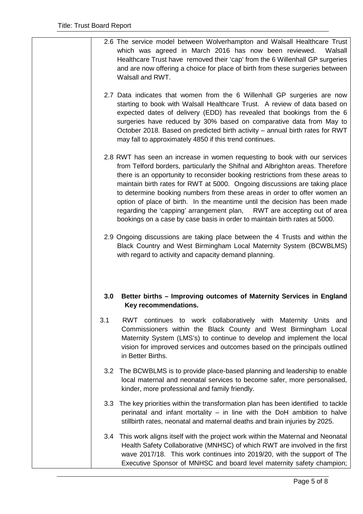|                  | 2.6 The service model between Wolverhampton and Walsall Healthcare Trust<br>which was agreed in March 2016 has now been reviewed.<br>Walsall<br>Healthcare Trust have removed their 'cap' from the 6 Willenhall GP surgeries<br>and are now offering a choice for place of birth from these surgeries between<br>Walsall and RWT.                                                                                                                                                                                                                                                                                                               |
|------------------|-------------------------------------------------------------------------------------------------------------------------------------------------------------------------------------------------------------------------------------------------------------------------------------------------------------------------------------------------------------------------------------------------------------------------------------------------------------------------------------------------------------------------------------------------------------------------------------------------------------------------------------------------|
|                  | 2.7 Data indicates that women from the 6 Willenhall GP surgeries are now<br>starting to book with Walsall Healthcare Trust. A review of data based on<br>expected dates of delivery (EDD) has revealed that bookings from the 6<br>surgeries have reduced by 30% based on comparative data from May to<br>October 2018. Based on predicted birth activity – annual birth rates for RWT<br>may fall to approximately 4850 if this trend continues.                                                                                                                                                                                               |
|                  | 2.8 RWT has seen an increase in women requesting to book with our services<br>from Telford borders, particularly the Shifnal and Albrighton areas. Therefore<br>there is an opportunity to reconsider booking restrictions from these areas to<br>maintain birth rates for RWT at 5000. Ongoing discussions are taking place<br>to determine booking numbers from these areas in order to offer women an<br>option of place of birth. In the meantime until the decision has been made<br>regarding the 'capping' arrangement plan, RWT are accepting out of area<br>bookings on a case by case basis in order to maintain birth rates at 5000. |
|                  | 2.9 Ongoing discussions are taking place between the 4 Trusts and within the<br>Black Country and West Birmingham Local Maternity System (BCWBLMS)<br>with regard to activity and capacity demand planning.                                                                                                                                                                                                                                                                                                                                                                                                                                     |
| 3.0              | Better births - Improving outcomes of Maternity Services in England<br>Key recommendations.                                                                                                                                                                                                                                                                                                                                                                                                                                                                                                                                                     |
| 3.1              | RWT continues to work collaboratively with Maternity Units and<br>Commissioners within the Black County and West Birmingham Local<br>Maternity System (LMS's) to continue to develop and implement the local<br>vision for improved services and outcomes based on the principals outlined<br>in Better Births.                                                                                                                                                                                                                                                                                                                                 |
|                  | 3.2 The BCWBLMS is to provide place-based planning and leadership to enable<br>local maternal and neonatal services to become safer, more personalised,<br>kinder, more professional and family friendly.                                                                                                                                                                                                                                                                                                                                                                                                                                       |
| 3.3 <sub>1</sub> | The key priorities within the transformation plan has been identified to tackle<br>perinatal and infant mortality – in line with the DoH ambition to halve<br>stillbirth rates, neonatal and maternal deaths and brain injuries by 2025.                                                                                                                                                                                                                                                                                                                                                                                                        |
|                  | 3.4 This work aligns itself with the project work within the Maternal and Neonatal<br>Health Safety Collaborative (MNHSC) of which RWT are involved in the first<br>wave 2017/18. This work continues into 2019/20, with the support of The<br>Executive Sponsor of MNHSC and board level maternity safety champion;                                                                                                                                                                                                                                                                                                                            |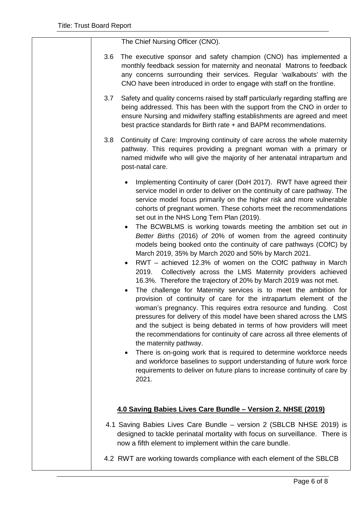The Chief Nursing Officer (CNO).

- 3.6 The executive sponsor and safety champion (CNO) has implemented a monthly feedback session for maternity and neonatal Matrons to feedback any concerns surrounding their services. Regular 'walkabouts' with the CNO have been introduced in order to engage with staff on the frontline.
- 3.7 Safety and quality concerns raised by staff particularly regarding staffing are being addressed. This has been with the support from the CNO in order to ensure Nursing and midwifery staffing establishments are agreed and meet best practice standards for Birth rate + and BAPM recommendations.
- 3.8 Continuity of Care: Improving continuity of care across the whole maternity pathway. This requires providing a pregnant woman with a primary or named midwife who will give the majority of her antenatal intrapartum and post-natal care.
	- Implementing Continuity of carer (DoH 2017). RWT have agreed their service model in order to deliver on the continuity of care pathway. The service model focus primarily on the higher risk and more vulnerable cohorts of pregnant women. These cohorts meet the recommendations set out in the NHS Long Tern Plan (2019).
	- The BCWBLMS is working towards meeting the ambition set out *in Better Births* (2016) *of* 20% of women from the agreed continuity models being booked onto the continuity of care pathways (COfC) by March 2019, 35% by March 2020 and 50% by March 2021.
	- RWT achieved 12.3% of women on the COfC pathway in March 2019. Collectively across the LMS Maternity providers achieved 16.3%. Therefore the trajectory of 20% by March 2019 was not met.
	- The challenge for Maternity services is to meet the ambition for provision of continuity of care for the intrapartum element of the woman's pregnancy. This requires extra resource and funding. Cost pressures for delivery of this model have been shared across the LMS and the subject is being debated in terms of how providers will meet the recommendations for continuity of care across all three elements of the maternity pathway.
	- There is on-going work that is required to determine workforce needs and workforce baselines to support understanding of future work force requirements to deliver on future plans to increase continuity of care by 2021.

#### **4.0 Saving Babies Lives Care Bundle – Version 2. NHSE (2019)**

- 4.1 Saving Babies Lives Care Bundle version 2 (SBLCB NHSE 2019) is designed to tackle perinatal mortality with focus on surveillance. There is now a fifth element to implement within the care bundle.
- 4.2 RWT are working towards compliance with each element of the SBLCB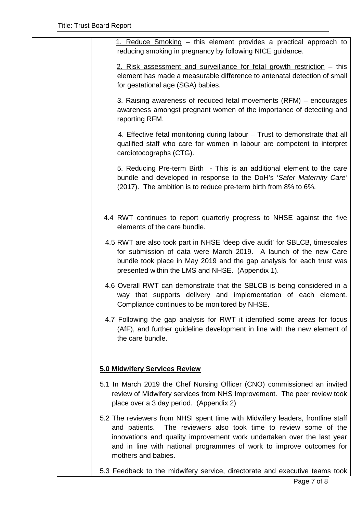| 1. Reduce Smoking – this element provides a practical approach to<br>reducing smoking in pregnancy by following NICE guidance.                                                                                                                                                                                                 |
|--------------------------------------------------------------------------------------------------------------------------------------------------------------------------------------------------------------------------------------------------------------------------------------------------------------------------------|
| 2. Risk assessment and surveillance for fetal growth restriction – this<br>element has made a measurable difference to antenatal detection of small<br>for gestational age (SGA) babies.                                                                                                                                       |
| 3. Raising awareness of reduced fetal movements (RFM) – encourages<br>awareness amongst pregnant women of the importance of detecting and<br>reporting RFM.                                                                                                                                                                    |
| 4. Effective fetal monitoring during labour – Trust to demonstrate that all<br>qualified staff who care for women in labour are competent to interpret<br>cardiotocographs (CTG).                                                                                                                                              |
| 5. Reducing Pre-term Birth - This is an additional element to the care<br>bundle and developed in response to the DoH's 'Safer Maternity Care'<br>(2017). The ambition is to reduce pre-term birth from 8% to 6%.                                                                                                              |
| 4.4 RWT continues to report quarterly progress to NHSE against the five<br>elements of the care bundle.                                                                                                                                                                                                                        |
| 4.5 RWT are also took part in NHSE 'deep dive audit' for SBLCB, timescales<br>for submission of data were March 2019. A launch of the new Care<br>bundle took place in May 2019 and the gap analysis for each trust was<br>presented within the LMS and NHSE. (Appendix 1).                                                    |
| 4.6 Overall RWT can demonstrate that the SBLCB is being considered in a<br>way that supports delivery and implementation of each element.<br>Compliance continues to be monitored by NHSE.                                                                                                                                     |
| 4.7 Following the gap analysis for RWT it identified some areas for focus<br>(AfF), and further guideline development in line with the new element of<br>the care bundle.                                                                                                                                                      |
| 5.0 Midwifery Services Review                                                                                                                                                                                                                                                                                                  |
| 5.1 In March 2019 the Chef Nursing Officer (CNO) commissioned an invited<br>review of Midwifery services from NHS Improvement. The peer review took<br>place over a 3 day period. (Appendix 2)                                                                                                                                 |
| 5.2 The reviewers from NHSI spent time with Midwifery leaders, frontline staff<br>The reviewers also took time to review some of the<br>and patients.<br>innovations and quality improvement work undertaken over the last year<br>and in line with national programmes of work to improve outcomes for<br>mothers and babies. |
| 5.3 Feedback to the midwifery service, directorate and executive teams took                                                                                                                                                                                                                                                    |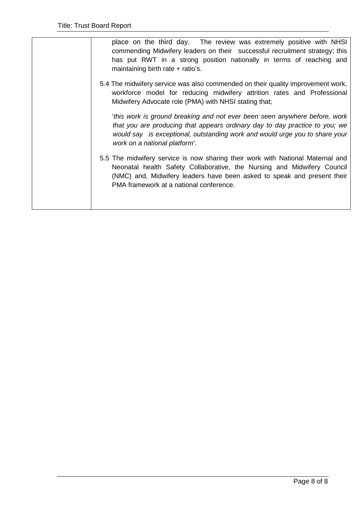| place on the third day. The review was extremely positive with NHSI<br>commending Midwifery leaders on their successful recruitment strategy; this<br>has put RWT in a strong position nationally in terms of reaching and<br>maintaining birth rate + ratio's.                 |
|---------------------------------------------------------------------------------------------------------------------------------------------------------------------------------------------------------------------------------------------------------------------------------|
| 5.4 The midwifery service was also commended on their quality improvement work,<br>workforce model for reducing midwifery attrition rates and Professional<br>Midwifery Advocate role (PMA) with NHSI stating that;                                                             |
| this work is ground breaking and not ever been seen anywhere before, work<br>that you are producing that appears ordinary day to day practice to you; we<br>would say is exceptional, outstanding work and would urge you to share your<br>work on a national platform'.        |
| 5.5 The midwifery service is now sharing their work with National Maternal and<br>Neonatal health Safety Collaborative, the Nursing and Midwifery Council<br>(NMC) and, Midwifery leaders have been asked to speak and present their<br>PMA framework at a national conference. |
|                                                                                                                                                                                                                                                                                 |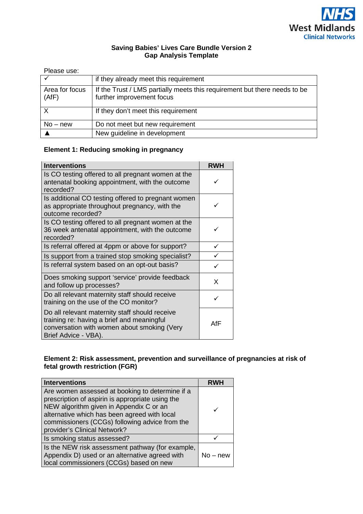

#### **Saving Babies' Lives Care Bundle Version 2 Gap Analysis Template**

| Please use:             |                                                                                                        |
|-------------------------|--------------------------------------------------------------------------------------------------------|
|                         | if they already meet this requirement                                                                  |
| Area for focus<br>(AfF) | If the Trust / LMS partially meets this requirement but there needs to be<br>further improvement focus |
| X                       | If they don't meet this requirement                                                                    |
| $No$ – new              | Do not meet but new requirement                                                                        |
|                         | New guideline in development                                                                           |

#### **Element 1: Reducing smoking in pregnancy**

| <b>Interventions</b>                                                                                                                                                | <b>RWH</b>   |
|---------------------------------------------------------------------------------------------------------------------------------------------------------------------|--------------|
| Is CO testing offered to all pregnant women at the<br>antenatal booking appointment, with the outcome<br>recorded?                                                  |              |
| Is additional CO testing offered to pregnant women<br>as appropriate throughout pregnancy, with the<br>outcome recorded?                                            |              |
| Is CO testing offered to all pregnant women at the<br>36 week antenatal appointment, with the outcome<br>recorded?                                                  |              |
| Is referral offered at 4ppm or above for support?                                                                                                                   | ✓            |
| Is support from a trained stop smoking specialist?                                                                                                                  |              |
| Is referral system based on an opt-out basis?                                                                                                                       | $\checkmark$ |
| Does smoking support 'service' provide feedback<br>and follow up processes?                                                                                         | X            |
| Do all relevant maternity staff should receive<br>training on the use of the CO monitor?                                                                            |              |
| Do all relevant maternity staff should receive<br>training re: having a brief and meaningful<br>conversation with women about smoking (Very<br>Brief Advice - VBA). | AfF          |

#### **Element 2: Risk assessment, prevention and surveillance of pregnancies at risk of fetal growth restriction (FGR)**

| <b>Interventions</b>                                                                                                                                                                                                                                                             | <b>RWH</b> |
|----------------------------------------------------------------------------------------------------------------------------------------------------------------------------------------------------------------------------------------------------------------------------------|------------|
| Are women assessed at booking to determine if a<br>prescription of aspirin is appropriate using the<br>NEW algorithm given in Appendix C or an<br>alternative which has been agreed with local<br>commissioners (CCGs) following advice from the<br>provider's Clinical Network? |            |
| Is smoking status assessed?                                                                                                                                                                                                                                                      |            |
| Is the NEW risk assessment pathway (for example,<br>Appendix D) used or an alternative agreed with<br>local commissioners (CCGs) based on new                                                                                                                                    | $No$ – new |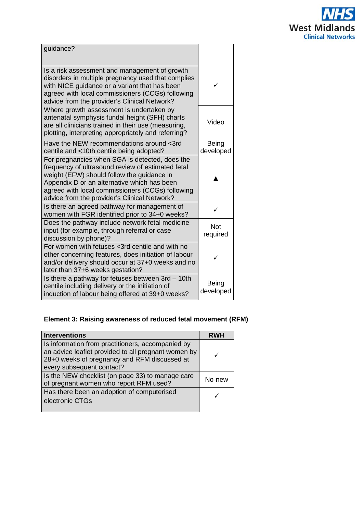

| guidance?                                                                                                                                                                                                                                                                                            |                           |
|------------------------------------------------------------------------------------------------------------------------------------------------------------------------------------------------------------------------------------------------------------------------------------------------------|---------------------------|
| Is a risk assessment and management of growth<br>disorders in multiple pregnancy used that complies<br>with NICE guidance or a variant that has been<br>agreed with local commissioners (CCGs) following<br>advice from the provider's Clinical Network?                                             |                           |
| Where growth assessment is undertaken by<br>antenatal symphysis fundal height (SFH) charts<br>are all clinicians trained in their use (measuring,<br>plotting, interpreting appropriately and referring?                                                                                             | Video                     |
| Have the NEW recommendations around <3rd<br>centile and <10th centile being adopted?                                                                                                                                                                                                                 | <b>Being</b><br>developed |
| For pregnancies when SGA is detected, does the<br>frequency of ultrasound review of estimated fetal<br>weight (EFW) should follow the guidance in<br>Appendix D or an alternative which has been<br>agreed with local commissioners (CCGs) following<br>advice from the provider's Clinical Network? |                           |
| Is there an agreed pathway for management of<br>women with FGR identified prior to 34+0 weeks?                                                                                                                                                                                                       | ✓                         |
| Does the pathway include network fetal medicine<br>input (for example, through referral or case<br>discussion by phone)?                                                                                                                                                                             | <b>Not</b><br>required    |
| For women with fetuses <3rd centile and with no<br>other concerning features, does initiation of labour<br>and/or delivery should occur at 37+0 weeks and no<br>later than 37+6 weeks gestation?                                                                                                     |                           |
| Is there a pathway for fetuses between 3rd - 10th<br>centile including delivery or the initiation of<br>induction of labour being offered at 39+0 weeks?                                                                                                                                             | <b>Being</b><br>developed |

## **Element 3: Raising awareness of reduced fetal movement (RFM)**

| <b>Interventions</b>                                                                                                                                                                  | RWH    |
|---------------------------------------------------------------------------------------------------------------------------------------------------------------------------------------|--------|
| Is information from practitioners, accompanied by<br>an advice leaflet provided to all pregnant women by<br>28+0 weeks of pregnancy and RFM discussed at<br>every subsequent contact? |        |
| Is the NEW checklist (on page 33) to manage care<br>of pregnant women who report RFM used?                                                                                            | No-new |
| Has there been an adoption of computerised<br>electronic CTGs                                                                                                                         |        |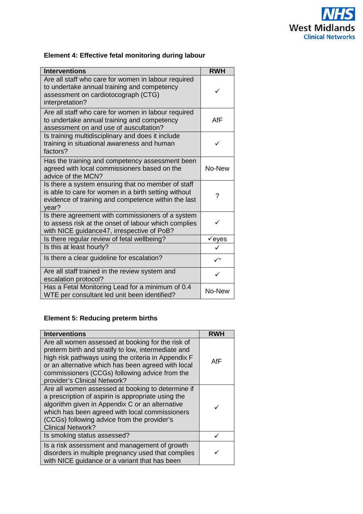

### **Element 4: Effective fetal monitoring during labour**

| <b>Interventions</b>                                                                                                                                                       | <b>RWH</b>   |
|----------------------------------------------------------------------------------------------------------------------------------------------------------------------------|--------------|
| Are all staff who care for women in labour required<br>to undertake annual training and competency<br>assessment on cardiotocograph (CTG)<br>interpretation?               | ✓            |
| Are all staff who care for women in labour required<br>to undertake annual training and competency<br>assessment on and use of auscultation?                               | AfF          |
| Is training multidisciplinary and does it include<br>training in situational awareness and human<br>factors?                                                               | ✓            |
| Has the training and competency assessment been<br>agreed with local commissioners based on the<br>advice of the MCN?                                                      | No-New       |
| Is there a system ensuring that no member of staff<br>is able to care for women in a birth setting without<br>evidence of training and competence within the last<br>year? | ?            |
| Is there agreement with commissioners of a system<br>to assess risk at the onset of labour which complies<br>with NICE guidance47, irrespective of PoB?                    |              |
| Is there regular review of fetal wellbeing?                                                                                                                                | eyes         |
| Is this at least hourly?                                                                                                                                                   |              |
| Is there a clear guideline for escalation?                                                                                                                                 | $\checkmark$ |
| Are all staff trained in the review system and<br>escalation protocol?                                                                                                     | ✓            |
| Has a Fetal Monitoring Lead for a minimum of 0.4<br>WTE per consultant led unit been identified?                                                                           | No-New       |

#### **Element 5: Reducing preterm births**

| <b>Interventions</b>                                                                                                                                                                                                                                                                                    |     |
|---------------------------------------------------------------------------------------------------------------------------------------------------------------------------------------------------------------------------------------------------------------------------------------------------------|-----|
| Are all women assessed at booking for the risk of<br>preterm birth and stratify to low, intermediate and<br>high risk pathways using the criteria in Appendix F<br>or an alternative which has been agreed with local<br>commissioners (CCGs) following advice from the<br>provider's Clinical Network? | AfF |
| Are all women assessed at booking to determine if<br>a prescription of aspirin is appropriate using the<br>algorithm given in Appendix C or an alternative<br>which has been agreed with local commissioners<br>(CCGs) following advice from the provider's<br><b>Clinical Network?</b>                 |     |
| Is smoking status assessed?                                                                                                                                                                                                                                                                             |     |
| Is a risk assessment and management of growth<br>disorders in multiple pregnancy used that complies<br>with NICE guidance or a variant that has been                                                                                                                                                    |     |